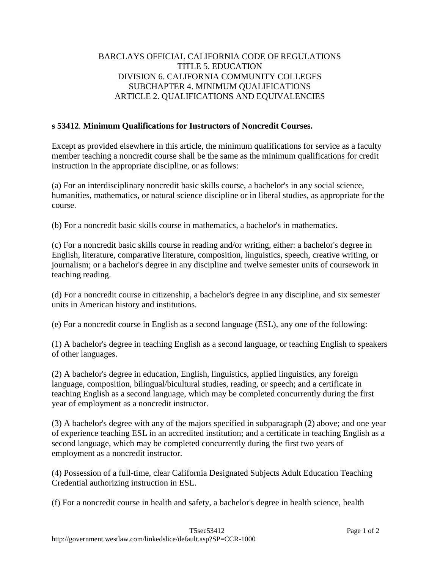## BARCLAYS OFFICIAL CALIFORNIA CODE OF REGULATIONS TITLE 5. EDUCATION DIVISION 6. CALIFORNIA COMMUNITY COLLEGES SUBCHAPTER 4. MINIMUM QUALIFICATIONS ARTICLE 2. QUALIFICATIONS AND EQUIVALENCIES

## **s 53412**. **Minimum Qualifications for Instructors of Noncredit Courses.**

Except as provided elsewhere in this article, the minimum qualifications for service as a faculty member teaching a noncredit course shall be the same as the minimum qualifications for credit instruction in the appropriate discipline, or as follows:

(a) For an interdisciplinary noncredit basic skills course, a bachelor's in any social science, humanities, mathematics, or natural science discipline or in liberal studies, as appropriate for the course.

(b) For a noncredit basic skills course in mathematics, a bachelor's in mathematics.

(c) For a noncredit basic skills course in reading and/or writing, either: a bachelor's degree in English, literature, comparative literature, composition, linguistics, speech, creative writing, or journalism; or a bachelor's degree in any discipline and twelve semester units of coursework in teaching reading.

(d) For a noncredit course in citizenship, a bachelor's degree in any discipline, and six semester units in American history and institutions.

(e) For a noncredit course in English as a second language (ESL), any one of the following:

(1) A bachelor's degree in teaching English as a second language, or teaching English to speakers of other languages.

(2) A bachelor's degree in education, English, linguistics, applied linguistics, any foreign language, composition, bilingual/bicultural studies, reading, or speech; and a certificate in teaching English as a second language, which may be completed concurrently during the first year of employment as a noncredit instructor.

(3) A bachelor's degree with any of the majors specified in subparagraph (2) above; and one year of experience teaching ESL in an accredited institution; and a certificate in teaching English as a second language, which may be completed concurrently during the first two years of employment as a noncredit instructor.

(4) Possession of a full-time, clear California Designated Subjects Adult Education Teaching Credential authorizing instruction in ESL.

(f) For a noncredit course in health and safety, a bachelor's degree in health science, health